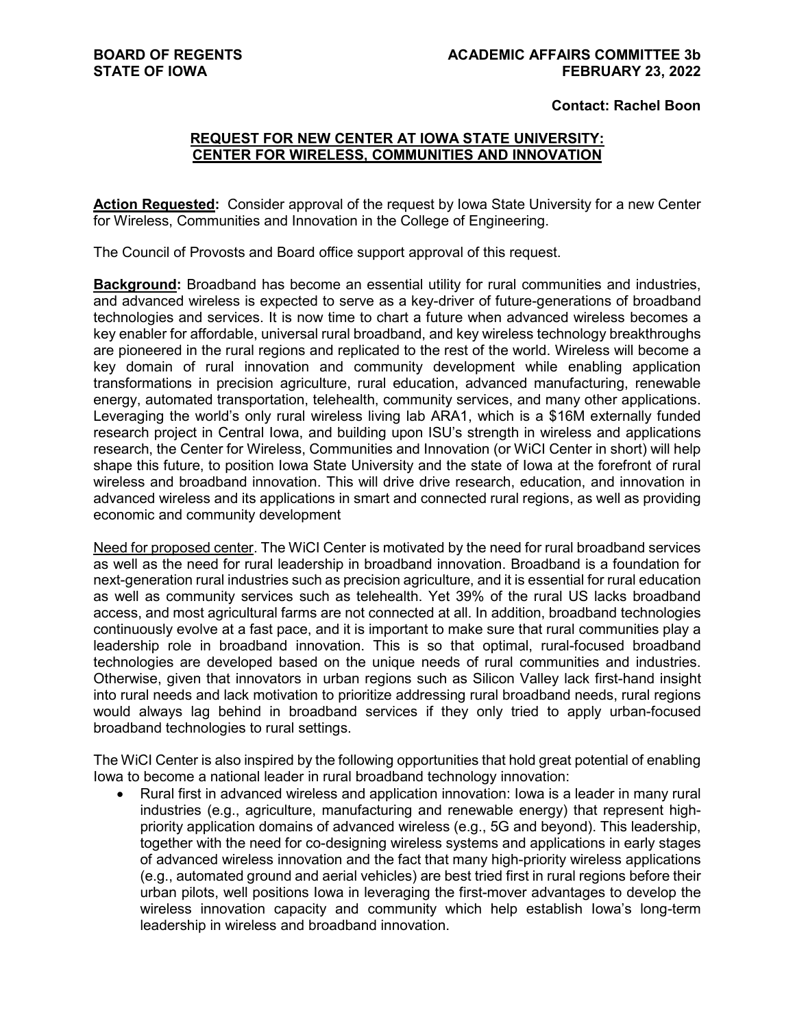#### **Contact: Rachel Boon**

### **REQUEST FOR NEW CENTER AT IOWA STATE UNIVERSITY: CENTER FOR WIRELESS, COMMUNITIES AND INNOVATION**

**Action Requested:** Consider approval of the request by Iowa State University for a new Center for Wireless, Communities and Innovation in the College of Engineering.

The Council of Provosts and Board office support approval of this request.

**Background:** Broadband has become an essential utility for rural communities and industries, and advanced wireless is expected to serve as a key-driver of future-generations of broadband technologies and services. It is now time to chart a future when advanced wireless becomes a key enabler for affordable, universal rural broadband, and key wireless technology breakthroughs are pioneered in the rural regions and replicated to the rest of the world. Wireless will become a key domain of rural innovation and community development while enabling application transformations in precision agriculture, rural education, advanced manufacturing, renewable energy, automated transportation, telehealth, community services, and many other applications. Leveraging the world's only rural wireless living lab ARA1, which is a \$16M externally funded research project in Central Iowa, and building upon ISU's strength in wireless and applications research, the Center for Wireless, Communities and Innovation (or WiCI Center in short) will help shape this future, to position Iowa State University and the state of Iowa at the forefront of rural wireless and broadband innovation. This will drive drive research, education, and innovation in advanced wireless and its applications in smart and connected rural regions, as well as providing economic and community development

Need for proposed center. The WiCI Center is motivated by the need for rural broadband services as well as the need for rural leadership in broadband innovation. Broadband is a foundation for next-generation rural industries such as precision agriculture, and it is essential for rural education as well as community services such as telehealth. Yet 39% of the rural US lacks broadband access, and most agricultural farms are not connected at all. In addition, broadband technologies continuously evolve at a fast pace, and it is important to make sure that rural communities play a leadership role in broadband innovation. This is so that optimal, rural-focused broadband technologies are developed based on the unique needs of rural communities and industries. Otherwise, given that innovators in urban regions such as Silicon Valley lack first-hand insight into rural needs and lack motivation to prioritize addressing rural broadband needs, rural regions would always lag behind in broadband services if they only tried to apply urban-focused broadband technologies to rural settings.

The WiCI Center is also inspired by the following opportunities that hold great potential of enabling Iowa to become a national leader in rural broadband technology innovation:

• Rural first in advanced wireless and application innovation: Iowa is a leader in many rural industries (e.g., agriculture, manufacturing and renewable energy) that represent highpriority application domains of advanced wireless (e.g., 5G and beyond). This leadership, together with the need for co-designing wireless systems and applications in early stages of advanced wireless innovation and the fact that many high-priority wireless applications (e.g., automated ground and aerial vehicles) are best tried first in rural regions before their urban pilots, well positions Iowa in leveraging the first-mover advantages to develop the wireless innovation capacity and community which help establish Iowa's long-term leadership in wireless and broadband innovation.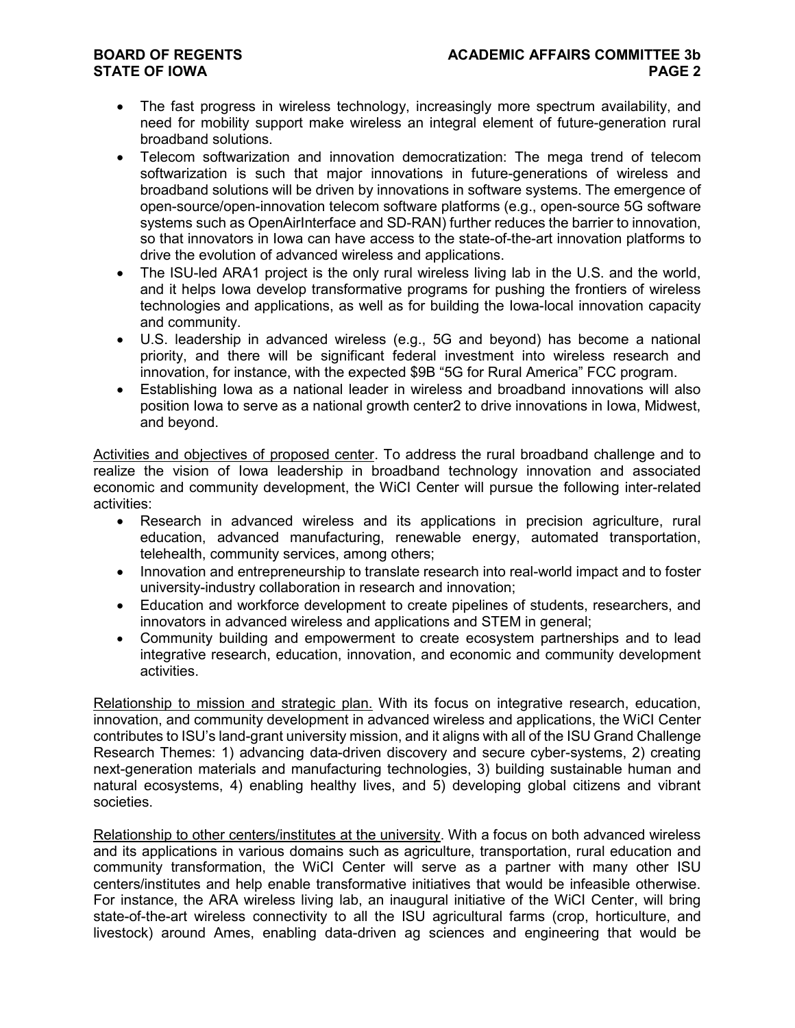# **STATE OF IOWA**

- The fast progress in wireless technology, increasingly more spectrum availability, and need for mobility support make wireless an integral element of future-generation rural broadband solutions.
- Telecom softwarization and innovation democratization: The mega trend of telecom softwarization is such that major innovations in future-generations of wireless and broadband solutions will be driven by innovations in software systems. The emergence of open-source/open-innovation telecom software platforms (e.g., open-source 5G software systems such as OpenAirInterface and SD-RAN) further reduces the barrier to innovation, so that innovators in Iowa can have access to the state-of-the-art innovation platforms to drive the evolution of advanced wireless and applications.
- The ISU-led ARA1 project is the only rural wireless living lab in the U.S. and the world, and it helps Iowa develop transformative programs for pushing the frontiers of wireless technologies and applications, as well as for building the Iowa-local innovation capacity and community.
- U.S. leadership in advanced wireless (e.g., 5G and beyond) has become a national priority, and there will be significant federal investment into wireless research and innovation, for instance, with the expected \$9B "5G for Rural America" FCC program.
- Establishing Iowa as a national leader in wireless and broadband innovations will also position Iowa to serve as a national growth center2 to drive innovations in Iowa, Midwest, and beyond.

Activities and objectives of proposed center. To address the rural broadband challenge and to realize the vision of Iowa leadership in broadband technology innovation and associated economic and community development, the WiCI Center will pursue the following inter-related activities:

- Research in advanced wireless and its applications in precision agriculture, rural education, advanced manufacturing, renewable energy, automated transportation, telehealth, community services, among others;
- Innovation and entrepreneurship to translate research into real-world impact and to foster university-industry collaboration in research and innovation;
- Education and workforce development to create pipelines of students, researchers, and innovators in advanced wireless and applications and STEM in general;
- Community building and empowerment to create ecosystem partnerships and to lead integrative research, education, innovation, and economic and community development activities.

Relationship to mission and strategic plan. With its focus on integrative research, education, innovation, and community development in advanced wireless and applications, the WiCI Center contributes to ISU's land-grant university mission, and it aligns with all of the ISU Grand Challenge Research Themes: 1) advancing data-driven discovery and secure cyber-systems, 2) creating next-generation materials and manufacturing technologies, 3) building sustainable human and natural ecosystems, 4) enabling healthy lives, and 5) developing global citizens and vibrant societies.

Relationship to other centers/institutes at the university. With a focus on both advanced wireless and its applications in various domains such as agriculture, transportation, rural education and community transformation, the WiCI Center will serve as a partner with many other ISU centers/institutes and help enable transformative initiatives that would be infeasible otherwise. For instance, the ARA wireless living lab, an inaugural initiative of the WiCI Center, will bring state-of-the-art wireless connectivity to all the ISU agricultural farms (crop, horticulture, and livestock) around Ames, enabling data-driven ag sciences and engineering that would be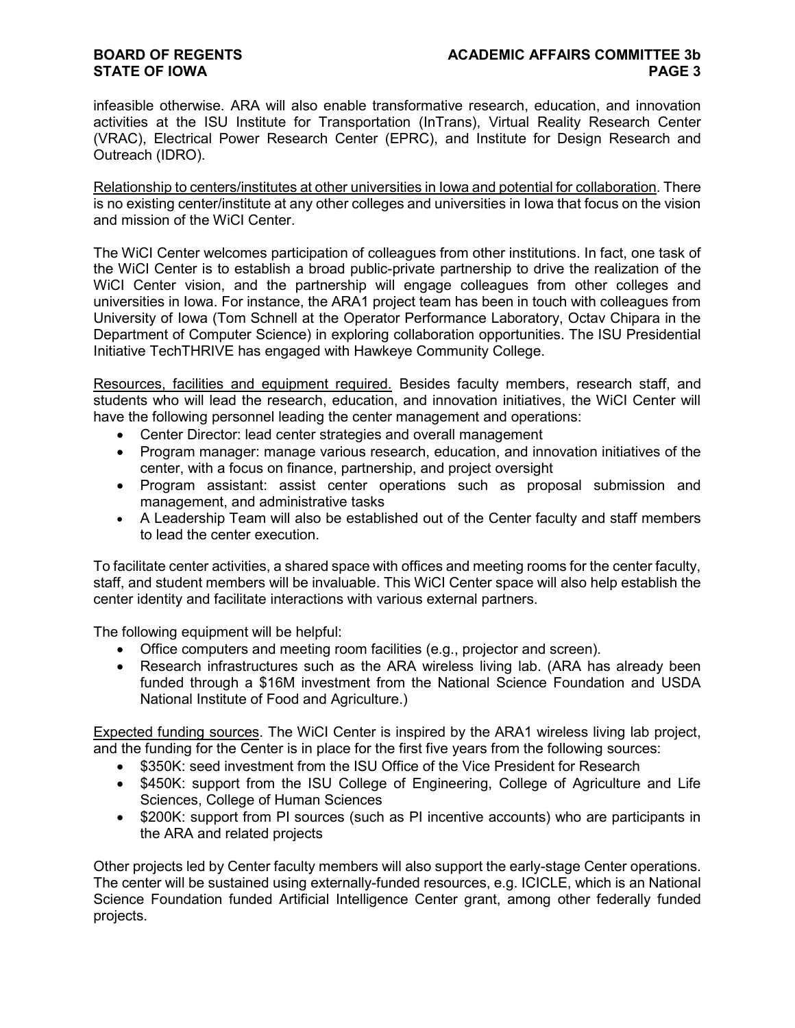## **STATE OF IOWA**

infeasible otherwise. ARA will also enable transformative research, education, and innovation activities at the ISU Institute for Transportation (InTrans), Virtual Reality Research Center (VRAC), Electrical Power Research Center (EPRC), and Institute for Design Research and Outreach (IDRO).

Relationship to centers/institutes at other universities in Iowa and potential for collaboration. There is no existing center/institute at any other colleges and universities in Iowa that focus on the vision and mission of the WiCI Center.

The WiCI Center welcomes participation of colleagues from other institutions. In fact, one task of the WiCI Center is to establish a broad public-private partnership to drive the realization of the WiCI Center vision, and the partnership will engage colleagues from other colleges and universities in Iowa. For instance, the ARA1 project team has been in touch with colleagues from University of Iowa (Tom Schnell at the Operator Performance Laboratory, Octav Chipara in the Department of Computer Science) in exploring collaboration opportunities. The ISU Presidential Initiative TechTHRIVE has engaged with Hawkeye Community College.

Resources, facilities and equipment required. Besides faculty members, research staff, and students who will lead the research, education, and innovation initiatives, the WiCI Center will have the following personnel leading the center management and operations:

- Center Director: lead center strategies and overall management
- Program manager: manage various research, education, and innovation initiatives of the center, with a focus on finance, partnership, and project oversight
- Program assistant: assist center operations such as proposal submission and management, and administrative tasks
- A Leadership Team will also be established out of the Center faculty and staff members to lead the center execution.

To facilitate center activities, a shared space with offices and meeting rooms for the center faculty, staff, and student members will be invaluable. This WiCI Center space will also help establish the center identity and facilitate interactions with various external partners.

The following equipment will be helpful:

- Office computers and meeting room facilities (e.g., projector and screen).
- Research infrastructures such as the ARA wireless living lab. (ARA has already been funded through a \$16M investment from the National Science Foundation and USDA National Institute of Food and Agriculture.)

Expected funding sources. The WiCI Center is inspired by the ARA1 wireless living lab project, and the funding for the Center is in place for the first five years from the following sources:

- \$350K: seed investment from the ISU Office of the Vice President for Research
- \$450K: support from the ISU College of Engineering, College of Agriculture and Life Sciences, College of Human Sciences
- \$200K: support from PI sources (such as PI incentive accounts) who are participants in the ARA and related projects

Other projects led by Center faculty members will also support the early-stage Center operations. The center will be sustained using externally-funded resources, e.g. ICICLE, which is an National Science Foundation funded Artificial Intelligence Center grant, among other federally funded projects.